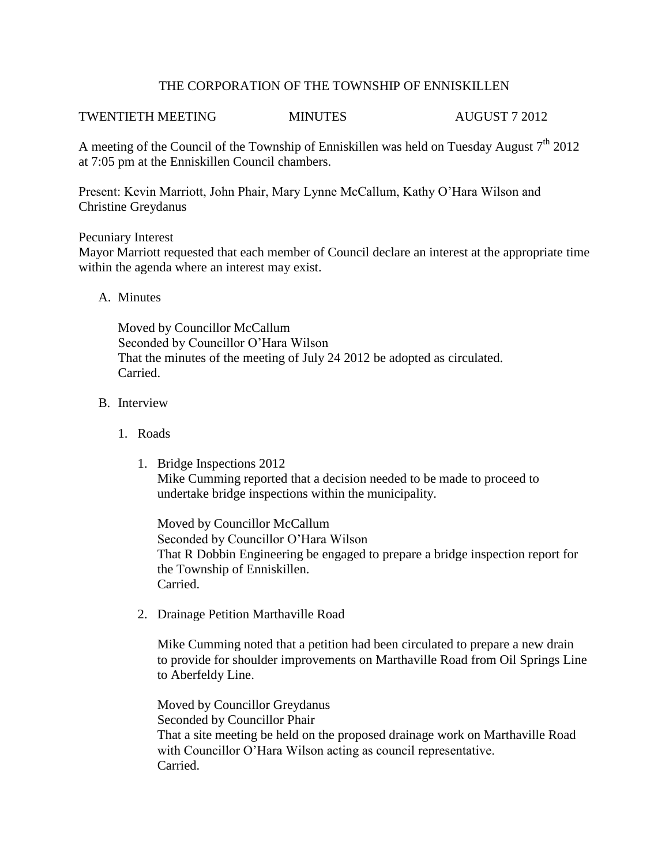## THE CORPORATION OF THE TOWNSHIP OF ENNISKILLEN

# TWENTIETH MEETING MINUTES AUGUST 7 2012

A meeting of the Council of the Township of Enniskillen was held on Tuesday August  $7<sup>th</sup> 2012$ at 7:05 pm at the Enniskillen Council chambers.

Present: Kevin Marriott, John Phair, Mary Lynne McCallum, Kathy O'Hara Wilson and Christine Greydanus

## Pecuniary Interest

Mayor Marriott requested that each member of Council declare an interest at the appropriate time within the agenda where an interest may exist.

## A. Minutes

Moved by Councillor McCallum Seconded by Councillor O'Hara Wilson That the minutes of the meeting of July 24 2012 be adopted as circulated. Carried.

## B. Interview

- 1. Roads
	- 1. Bridge Inspections 2012 Mike Cumming reported that a decision needed to be made to proceed to undertake bridge inspections within the municipality.

Moved by Councillor McCallum Seconded by Councillor O'Hara Wilson That R Dobbin Engineering be engaged to prepare a bridge inspection report for the Township of Enniskillen. Carried.

2. Drainage Petition Marthaville Road

Mike Cumming noted that a petition had been circulated to prepare a new drain to provide for shoulder improvements on Marthaville Road from Oil Springs Line to Aberfeldy Line.

Moved by Councillor Greydanus Seconded by Councillor Phair That a site meeting be held on the proposed drainage work on Marthaville Road with Councillor O'Hara Wilson acting as council representative. Carried.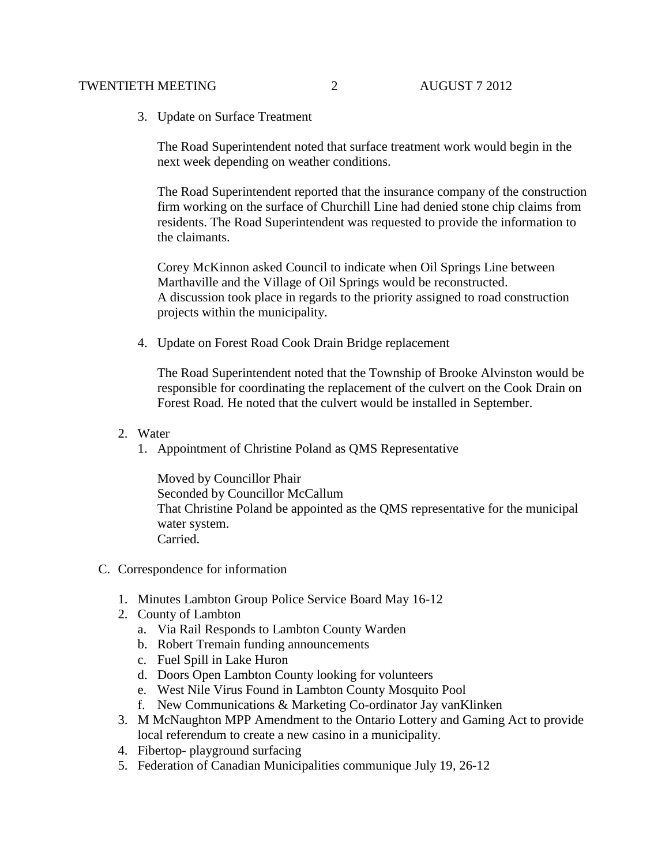#### TWENTIETH MEETING 2 AUGUST 7 2012

3. Update on Surface Treatment

The Road Superintendent noted that surface treatment work would begin in the next week depending on weather conditions.

The Road Superintendent reported that the insurance company of the construction firm working on the surface of Churchill Line had denied stone chip claims from residents. The Road Superintendent was requested to provide the information to the claimants.

Corey McKinnon asked Council to indicate when Oil Springs Line between Marthaville and the Village of Oil Springs would be reconstructed. A discussion took place in regards to the priority assigned to road construction projects within the municipality.

4. Update on Forest Road Cook Drain Bridge replacement

The Road Superintendent noted that the Township of Brooke Alvinston would be responsible for coordinating the replacement of the culvert on the Cook Drain on Forest Road. He noted that the culvert would be installed in September.

- 2. Water
	- 1. Appointment of Christine Poland as QMS Representative

Moved by Councillor Phair Seconded by Councillor McCallum That Christine Poland be appointed as the QMS representative for the municipal water system. Carried.

- C. Correspondence for information
	- 1. Minutes Lambton Group Police Service Board May 16-12
	- 2. County of Lambton
		- a. Via Rail Responds to Lambton County Warden
		- b. Robert Tremain funding announcements
		- c. Fuel Spill in Lake Huron
		- d. Doors Open Lambton County looking for volunteers
		- e. West Nile Virus Found in Lambton County Mosquito Pool
		- f. New Communications & Marketing Co-ordinator Jay vanKlinken
	- 3. M McNaughton MPP Amendment to the Ontario Lottery and Gaming Act to provide local referendum to create a new casino in a municipality.
	- 4. Fibertop- playground surfacing
	- 5. Federation of Canadian Municipalities communique July 19, 26-12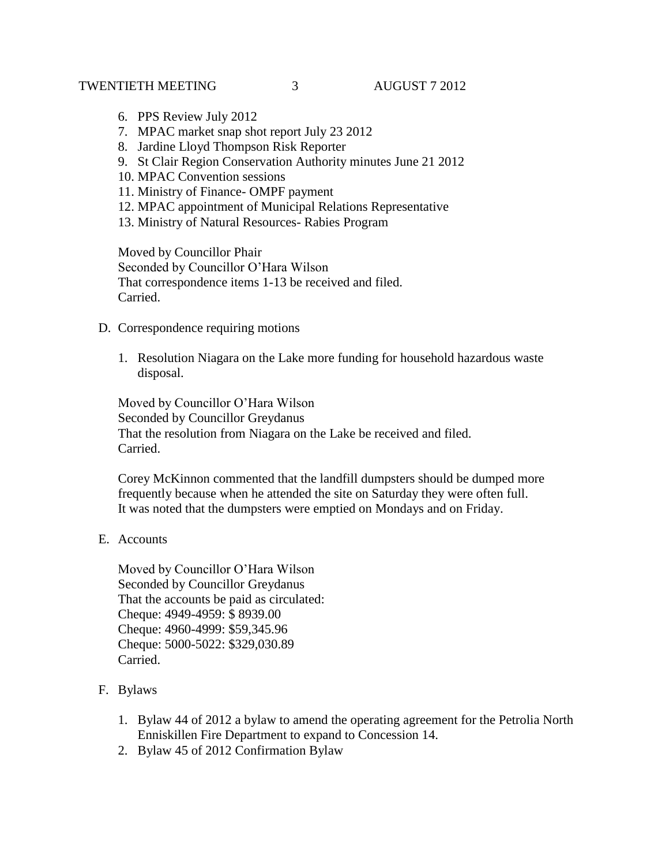## TWENTIETH MEETING 3 AUGUST 7 2012

- 6. PPS Review July 2012
- 7. MPAC market snap shot report July 23 2012
- 8. Jardine Lloyd Thompson Risk Reporter
- 9. St Clair Region Conservation Authority minutes June 21 2012
- 10. MPAC Convention sessions
- 11. Ministry of Finance- OMPF payment
- 12. MPAC appointment of Municipal Relations Representative
- 13. Ministry of Natural Resources- Rabies Program

Moved by Councillor Phair Seconded by Councillor O'Hara Wilson That correspondence items 1-13 be received and filed. Carried.

- D. Correspondence requiring motions
	- 1. Resolution Niagara on the Lake more funding for household hazardous waste disposal.

Moved by Councillor O'Hara Wilson Seconded by Councillor Greydanus That the resolution from Niagara on the Lake be received and filed. Carried.

Corey McKinnon commented that the landfill dumpsters should be dumped more frequently because when he attended the site on Saturday they were often full. It was noted that the dumpsters were emptied on Mondays and on Friday.

E. Accounts

Moved by Councillor O'Hara Wilson Seconded by Councillor Greydanus That the accounts be paid as circulated: Cheque: 4949-4959: \$ 8939.00 Cheque: 4960-4999: \$59,345.96 Cheque: 5000-5022: \$329,030.89 Carried.

- F. Bylaws
	- 1. Bylaw 44 of 2012 a bylaw to amend the operating agreement for the Petrolia North Enniskillen Fire Department to expand to Concession 14.
	- 2. Bylaw 45 of 2012 Confirmation Bylaw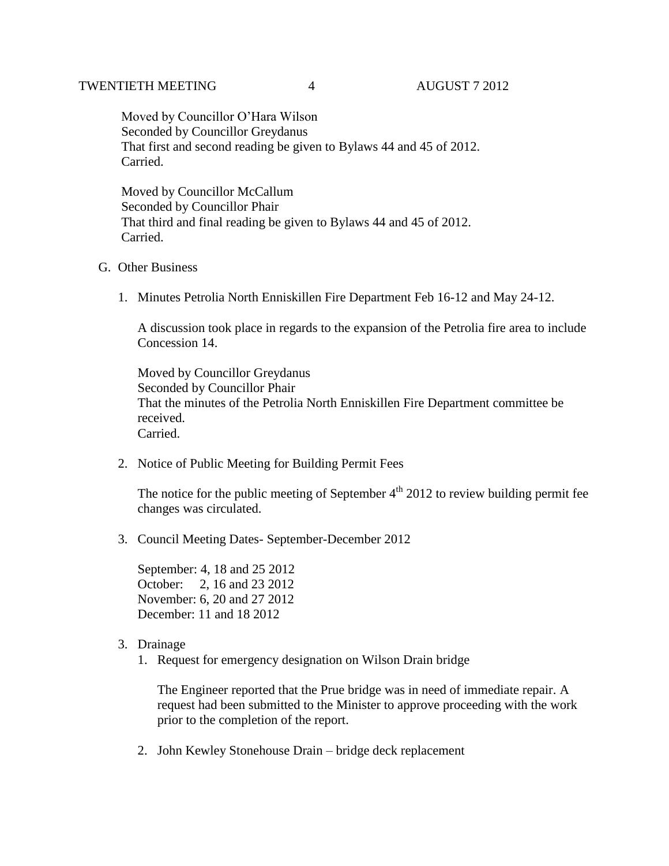Moved by Councillor O'Hara Wilson Seconded by Councillor Greydanus That first and second reading be given to Bylaws 44 and 45 of 2012. Carried.

 Moved by Councillor McCallum Seconded by Councillor Phair That third and final reading be given to Bylaws 44 and 45 of 2012. Carried.

#### G. Other Business

1. Minutes Petrolia North Enniskillen Fire Department Feb 16-12 and May 24-12.

A discussion took place in regards to the expansion of the Petrolia fire area to include Concession 14.

Moved by Councillor Greydanus Seconded by Councillor Phair That the minutes of the Petrolia North Enniskillen Fire Department committee be received. Carried.

2. Notice of Public Meeting for Building Permit Fees

The notice for the public meeting of September  $4<sup>th</sup>$  2012 to review building permit fee changes was circulated.

3. Council Meeting Dates- September-December 2012

September: 4, 18 and 25 2012 October: 2, 16 and 23 2012 November: 6, 20 and 27 2012 December: 11 and 18 2012

- 3. Drainage
	- 1. Request for emergency designation on Wilson Drain bridge

The Engineer reported that the Prue bridge was in need of immediate repair. A request had been submitted to the Minister to approve proceeding with the work prior to the completion of the report.

2. John Kewley Stonehouse Drain – bridge deck replacement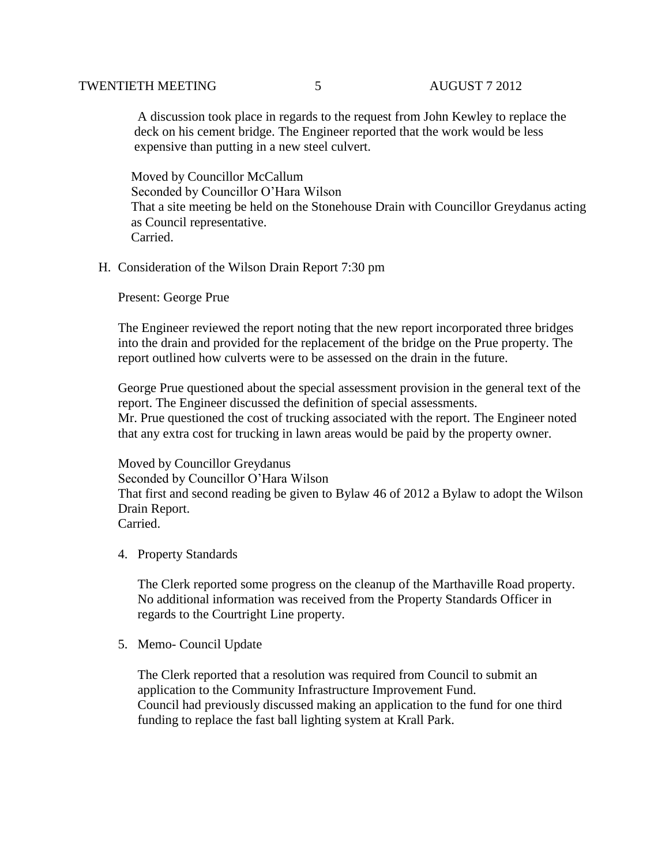#### TWENTIETH MEETING 5 AUGUST 7 2012

 A discussion took place in regards to the request from John Kewley to replace the deck on his cement bridge. The Engineer reported that the work would be less expensive than putting in a new steel culvert.

 Moved by Councillor McCallum Seconded by Councillor O'Hara Wilson That a site meeting be held on the Stonehouse Drain with Councillor Greydanus acting as Council representative. Carried.

#### H. Consideration of the Wilson Drain Report 7:30 pm

Present: George Prue

The Engineer reviewed the report noting that the new report incorporated three bridges into the drain and provided for the replacement of the bridge on the Prue property. The report outlined how culverts were to be assessed on the drain in the future.

George Prue questioned about the special assessment provision in the general text of the report. The Engineer discussed the definition of special assessments. Mr. Prue questioned the cost of trucking associated with the report. The Engineer noted that any extra cost for trucking in lawn areas would be paid by the property owner.

Moved by Councillor Greydanus Seconded by Councillor O'Hara Wilson That first and second reading be given to Bylaw 46 of 2012 a Bylaw to adopt the Wilson Drain Report. Carried.

#### 4. Property Standards

The Clerk reported some progress on the cleanup of the Marthaville Road property. No additional information was received from the Property Standards Officer in regards to the Courtright Line property.

5. Memo- Council Update

The Clerk reported that a resolution was required from Council to submit an application to the Community Infrastructure Improvement Fund. Council had previously discussed making an application to the fund for one third funding to replace the fast ball lighting system at Krall Park.